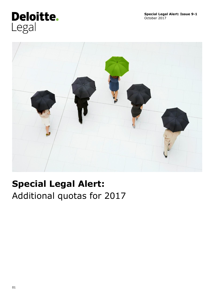# Deloitte. Legal



## **Special Legal Alert:**  Additional quotas for 2017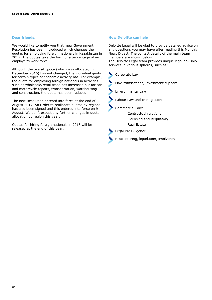#### **Dear friends,**

We would like to notify you that new Government Resolution has been introduced which changes the quotas for employing foreign nationals in Kazakhstan in 2017. The quotas take the form of a percentage of an employer's work force.

Although the overall quota (which was allocated in December 2016) has not changed, the individual quota for certain types of economic activity has. For example, the quota for employing foreign nationals in activities such as wholesale/retail trade has increased but for car and motorcycle repairs, transportation, warehousing and construction, the quota has been reduced.

The new Resolution entered into force at the end of August 2017. An Order to reallocate quotas by regions has also been signed and this entered into force on 9 August. We don't expect any further changes in quota allocation by region this year.

Quotas for hiring foreign nationals in 2018 will be released at the end of this year.

#### **How Deloitte can help**

Deloitte Legal will be glad to provide detailed advice on any questions you may have after reading this Monthly News Digest. The contact details of the main team members are shown below.

The Deloitte Legal team provides unique legal advisory services in various spheres, such as: